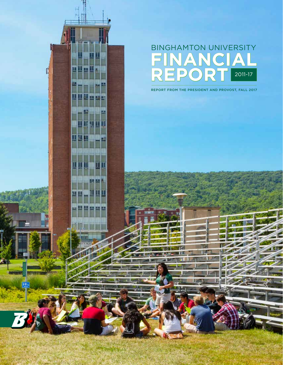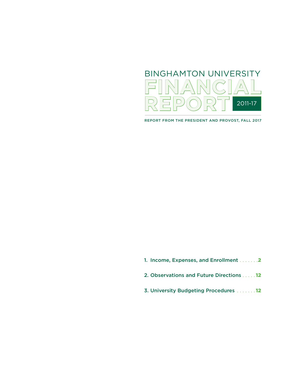

REPORT FROM THE PRESIDENT AND PROVOST, FALL 2017

- 1. Income, Expenses, and Enrollment . . . . . . 2
- 2. Observations and Future Directions . . . . . 12
- 3. University Budgeting Procedures . . . . . . 12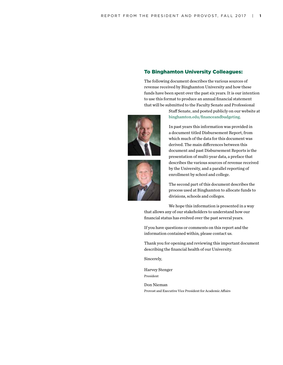# To Binghamton University Colleagues:

The following document describes the various sources of revenue received by Binghamton University and how these funds have been spent over the past six years. It is our intention to use this format to produce an annual financial statement that will be submitted to the Faculty Senate and Professional

> Staff Senate, and posted publicly on our website at binghamton.edu/financeandbudgeting.





In past years this information was provided in a document titled Disbursement Report, from which much of the data for this document was derived. The main differences between this document and past Disbursement Reports is the presentation of multi-year data, a preface that describes the various sources of revenue received by the University, and a parallel reporting of enrollment by school and college.

The second part of this document describes the process used at Binghamton to allocate funds to divisions, schools and colleges.

We hope this information is presented in a way that allows any of our stakeholders to understand how our financial status has evolved over the past several years.

If you have questions or comments on this report and the information contained within, please contact us.

Thank you for opening and reviewing this important document describing the financial health of our University.

Sincerely,

Harvey Stenger President

Don Nieman Provost and Executive Vice President for Academic Affairs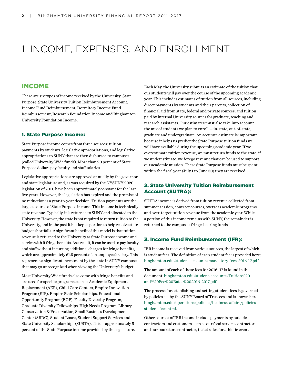# 1. INCOME, EXPENSES, AND ENROLLMENT

# INCOME

There are six types of income received by the University: State Purpose, State University Tuition Reimbursement Account, Income Fund Reimbursement, Dormitory Income Fund Reimbursement, Research Foundation Income and Binghamton University Foundation Income.

### 1. State Purpose Income:

State Purpose income comes from three sources: tuition payments by students; legislative appropriations; and legislative appropriations to SUNY that are then disbursed to campuses (called University Wide funds). More than 90 percent of State Purpose dollars pay faculty and staff salaries.

Legislative appropriations are approved annually by the governor and state legislature and, as was required by the NYSUNY 2020 legislation of 2011, have been approximately constant for the last five years. However, the legislation has expired and the promise of no reduction is a year-to-year decision. Tuition payments are the largest source of State Purpose income. This income is technically state revenue. Typically, it is returned to SUNY and allocated to the University. However, the state is not required to return tuition to the University, and in the past it has kept a portion to help resolve state budget shortfalls. A significant benefit of this model is that tuition revenue is returned to the University as State Purpose income and carries with it fringe benefits. As a result, it can be used to pay faculty and staff without incurring additional charges for fringe benefits, which are approximately 61.5 percent of an employee's salary. This represents a significant investment by the state in SUNY campuses that may go unrecognized when viewing the University's budget.

Most University Wide funds also come with fringe benefits and are used for specific programs such as Academic Equipment Replacement (AER), Child Care Centers, Empire Innovation Program (EIP), Empire State Scholarships, Educational Opportunity Program (EOP), Faculty Diversity Program, Graduate Diversity Fellowships, High Needs Program, Library Conservation & Preservation, Small Business Development Center (SBDC), Student Loans, Student Support Services and State University Scholarships (SUSTA). This is approximately 5 percent of the State Purpose income provided by the legislature. Each May, the University submits an estimate of the tuition that our students will pay over the course of the upcoming academic year. This includes estimates of tuition from all sources, including direct payments by students and their parents; collection of financial aid from state, federal and private sources; and tuition paid by internal University sources for graduate, teaching and research assistants. Our estimates must also take into account the mix of students we plan to enroll — in-state, out-of-state, graduate and undergraduate. An accurate estimate is important because it helps us predict the State Purpose tuition funds we will have available during the upcoming academic year. If we overestimate tuition revenue, we must return funds to the state; if we underestimate, we forego revenue that can be used to support our academic mission. These State Purpose funds must be spent within the fiscal year (July 1 to June 30) they are received.

# 2. State University Tuition Reimbursement Account (SUTRA):

SUTRA income is derived from tuition revenue collected from summer session, contract courses, overseas academic programs and over-target tuition revenue from the academic year. While a portion of this income remains with SUNY, the remainder is returned to the campus as fringe-bearing funds.

# 3. Income Fund Reimbursement (IFR):

IFR income is received from various sources, the largest of which is student fees. The definition of each student fee is provided here: binghamton.edu/student-accounts/mandatory-fees-2016-17.pdf.

The amount of each of these fees for 2016–17 is found in this document: binghamton.edu/student-accounts/Tuition%20 and%20Fee%20Rates%202016-2017.pdf.

The process for establishing and setting student fees is governed by policies set by the SUNY Board of Trustees and is shown here: binghamton.edu/operations/policies/business-affairs/policiesstudent-fees.html.

Other sources of IFR income include payments by outside contractors and customers such as our food service contractor and our bookstore contractor, ticket sales for athletic events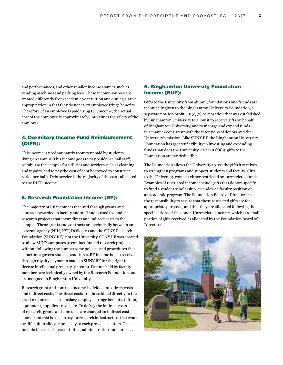and performances, and other smaller income sources such as vending machines and parking fees. These income sources are treated differently from academic year tuition and our legislative appropriation in that they do not carry employee fringe benefits. Therefore, if an employee is paid using IFR income, the actual cost of the employee is approximately 1.587 times the salary of the employee.

# 4. Dormitory Income Fund Reimbursement (DIFR):

This income is predominantly room rent paid by students living on campus. This income goes to pay residence hall staff, reimburse the campus for utilities and services such as cleaning and repairs, and to pay the cost of debt borrowed to construct residence halls. Debt service is the majority of the costs allocated to the DIFR income.

# 5. Research Foundation Income (RF):

The majority of RF income is received through grants and contracts awarded to faculty and staff and is used to conduct research projects that incur direct and indirect costs to the campus. These grants and contracts are technically between an external agency (NIH, NSF, DOE, etc.) and the SUNY Research Foundation (SUNY RF), not the University. SUNY RF was created to allow SUNY campuses to conduct funded research projects without following the cumbersome policies and procedures that sometimes govern state expenditures. RF income is also received through royalty payments made to SUNY RF for the right to license intellectual property (patents). Patents held by faculty members are technically owned by the Research Foundation but are assigned to Binghamton University.

Research grant and contract income is divided into direct costs and indirect costs. The direct costs are those billed directly to the grant or contract such as salary, employee fringe benefits, tuition, equipment, supplies, travel, etc. To defray the indirect costs of research, grants and contracts are charged an indirect cost assessment that is used to pay for research infrastructure that would be difficult to allocate precisely to each project cost item. These include the cost of space, utilities, administration and libraries.

# 6. Binghamton University Foundation Income (BUF):

Gifts to the University from alumni, foundations and friends are technically given to the Binghamton University Foundation, a separate not-for-profit 501(c)(3) corporation that was established by Binghamton University to allow it to receive gifts on behalf of Binghamton University, and to manage and expend funds in a manner consistent with the intentions of donors and the University's mission. Like SUNY RF, the Binghamton University Foundation has greater flexibility in investing and expending funds than does the University. As a 501 (c)(3), gifts to the Foundation are tax deductible.

The Foundation allows the University to use the gifts it receives to strengthen programs and support students and faculty. Gifts to the University come as either restricted or unrestricted funds. Examples of restricted income include gifts that donors specify to fund a student scholarship, an endowed faculty position or an academic program. The Foundation Board of Directors has the responsibility to assure that these restricted gifts are for appropriate purposes, and that they are allocated following the specifications of the donor. Unrestricted income, which is a small portion of gifts received, is allocated by the Foundation Board of Directors.

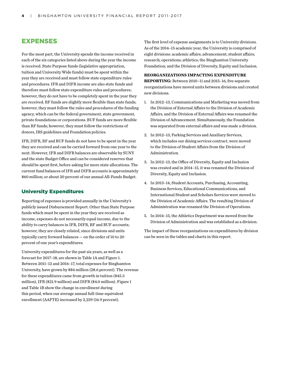# EXPENSES

For the most part, the University spends the income received in each of the six categories listed above during the year the income is received. State Purpose funds (legislative appropriation, tuition and University Wide funds) must be spent within the year they are received and must follow state expenditure rules and procedures. IFR and DIFR income are also state funds and therefore must follow state expenditure rules and procedures; however, they do not have to be completely spent in the year they are received. RF funds are slightly more flexible than state funds; however, they must follow the rules and procedures of the funding agency, which can be the federal government, state government, private foundations or corporations. BUF funds are more flexible than RF funds; however, they must follow the restrictions of donors, IRS guidelines and Foundation policies.

IFR, DIFR, RF and BUF funds do not have to be spent in the year they are received and can be carried forward from one year to the next. However, IFR and DIFR balances are observable by SUNY and the state Budget Office and can be considered reserves that should be spent first, before asking for more state allocations. The current fund balances of IFR and DIFR accounts is approximately \$60 million; or about 20 percent of our annual All-Funds Budget.

## University Expenditures

Reporting of expenses is provided annually in the University's publicly issued Disbursement Report. Other than State Purpose funds which must be spent in the year they are received as income, expenses do not necessarily equal income, due to the ability to carry balances in IFR, DIFR, RF and BUF accounts; however, they are closely related, since divisions and units typically carry forward balances — on the order of 10 to 20 percent of one year's expenditures.

University expenditures for the past six years, as well as a forecast for 2017–18, are shown in Table 1A and Figure 1. Between 2011–12 and 2016–17, total expenses for Binghamton University, have grown by \$84 million (28.6 percent). The revenue for these expenditures came from growth in tuition (\$45.3 million), IFR (\$21.9 million) and DIFR (\$4.0 million). Figure 1 and Table 1B show the change in enrollment during this period, when our average annual full-time equivalent enrollment (AAFTE) increased by 2,259 (16.9 percent).

The first level of expense assignments is to University divisions. As of the 2014–15 academic year, the University is comprised of eight divisions: academic affairs; advancement; student affairs; research; operations; athletics; the Binghamton University Foundation; and the Division of Diversity, Equity and Inclusion.

#### **REORGANIZATIONS IMPACTING EXPENDITURE**

**REPORTING:** Between 2010–11 and 2015–16, five separate reorganizations have moved units between divisions and created new divisions.

- 1. In 2012–13, Communications and Marketing was moved from the Division of External Affairs to the Division of Academic Affairs, and the Division of External Affairs was renamed the Division of Advancement. Simultaneously, the Foundation was separated from external affairs and was made a division.
- 2. In 2012–13, Parking Services and Auxiliary Services, which includes our dining services contract, were moved to the Division of Student Affairs from the Division of Administration.
- 3. In 2012–13, the Office of Diversity, Equity and Inclusion was created and in 2014–15, it was renamed the Division of Diversity, Equity and Inclusion.
- 4. In 2013–14, Student Accounts, Purchasing, Accounting, Business Services, Educational Communications, and International Student and Scholars Services were moved to the Division of Academic Affairs. The resulting Division of Administration was renamed the Division of Operations.
- 5. In 2014–15, the Athletics Department was moved from the Division of Administration and was established as a division.

The impact of these reorganizations on expenditures by division can be seen in the tables and charts in this report.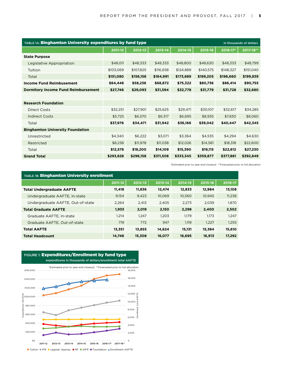| TABLE 1A: Binghamton University expenditures by fund type<br>in thousands of dollars |                    |           |           |           |           |           |           |  |
|--------------------------------------------------------------------------------------|--------------------|-----------|-----------|-----------|-----------|-----------|-----------|--|
|                                                                                      | $\sqrt{2011} - 12$ | 2012-13   | 2013-14   | 2014-15   | 2015-16   | 2016-17*  | 2017-18** |  |
| <b>State Purpose</b>                                                                 |                    |           |           |           |           |           |           |  |
| Legislative Appropriation                                                            | \$48,011           | \$48,333  | \$48,333  | \$48,800  | \$48,630  | \$48,333  | \$48,799  |  |
| Tuition                                                                              | \$103,069          | \$107,825 | \$116,658 | \$124,889 | \$140,575 | \$148,327 | \$151,040 |  |
| Total                                                                                | \$151,080          | \$156,158 | \$164,991 | \$173,689 | \$189,205 | \$196,660 | \$199,839 |  |
| <b>Income Fund Reimbusement</b>                                                      | \$64,448           | \$58,236  | \$68,872  | \$75,322  | \$80,736  | \$86,414  | \$90,755  |  |
| <b>Dormitory Income Fund Reimbursement</b>                                           | \$27,746           | \$29,093  | \$31,594  | \$32,778  | \$31,779  | \$31,728  | \$32,680  |  |
|                                                                                      |                    |           |           |           |           |           |           |  |
| <b>Research Foundation</b>                                                           |                    |           |           |           |           |           |           |  |
| Direct Costs                                                                         | \$32,251           | \$27,901  | \$25,625  | \$29,471  | \$30,107  | \$32,617  | \$34,285  |  |
| <b>Indirect Costs</b>                                                                | \$5,725            | \$6,570   | \$6,317   | \$6,695   | \$8,935   | \$7,830   | \$8,060   |  |
| Total                                                                                | \$37,976           | \$34,471  | \$31,942  | \$36,166  | \$39,042  | \$40,447  | \$42,345  |  |
| <b>Binghamton University Foundation</b>                                              |                    |           |           |           |           |           |           |  |
| Unrestricted                                                                         | \$4,340            | \$6,222   | \$3,071   | \$3,364   | \$4,535   | \$4,294   | \$4,630   |  |
| Restricted                                                                           | \$8,238            | \$11,978  | \$11,038  | \$12,026  | \$14,581  | \$18,318  | \$22,600  |  |
| Total                                                                                | \$12,578           | \$18,200  | \$14,109  | \$15,390  | \$19,115  | \$22,612  | \$27,230  |  |
| <b>Grand Total</b>                                                                   | \$293,828          | \$296,158 | \$311,508 | \$333,345 | \$359,877 | \$377,861 | \$392,849 |  |

\*Estimated prior to year-end closeout \*\*Forecasted prior to full allocation

| TABLE 1B: Binghamton University enrollment |             |         |         |         |         |         |  |  |  |
|--------------------------------------------|-------------|---------|---------|---------|---------|---------|--|--|--|
|                                            | $2011 - 12$ | 2012-13 | 2013-14 | 2014-15 | 2015-16 | 2016-17 |  |  |  |
| <b>Total Undergraduate AAFTE</b>           | 11,418      | 11,836  | 12,474  | 12,833  | 12,984  | 13,108  |  |  |  |
| Undergraduate AAFTE, In-state              | 9.154       | 9,423   | 10,069  | 10,560  | 10,945  | 11,238  |  |  |  |
| Undergraduate AAFTE, Out-of-state          | 2.264       | 2.413   | 2.405   | 2.273   | 2.039   | 1,870   |  |  |  |
| <b>Total Graduate AAFTE</b>                | 1,933       | 2,019   | 2,150   | 2,298   | 2,400   | 2,502   |  |  |  |
| Graduate AAFTE, In-state                   | 1.214       | 1.247   | 1.203   | 1.179   | 1.173   | 1.247   |  |  |  |
| Graduate AAFTE, Out-of-state               | 719         | 772     | 947     | 1.119   | 1.227   | 1.255   |  |  |  |
| <b>Total AAFTE</b>                         | 13,351      | 13,855  | 14,624  | 15,131  | 15,384  | 15,610  |  |  |  |
| <b>Total Headcount</b>                     | 14,746      | 15,308  | 16,077  | 16,695  | 16,913  | 17,292  |  |  |  |



### FIGURE 1: Expenditures/Enrollment by fund type expenditures in thousands of dollars/enrollment total AAFTE

**■ Tuition ■ IFR · Legislat. Approp. ● RF · DIFR · Foundation ▲ Enrollment AAFTE**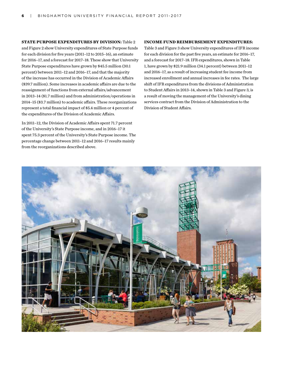#### **STATE PURPOSE EXPENDITURES BY DIVISION:** Table 2

and Figure 2 show University expenditures of State Purpose funds for each division for five years (2011–12 to 2015–16), an estimate for 2016–17, and a forecast for 2017–18. These show that University State Purpose expenditures have grown by \$45.5 million (30.1 percent) between 2011–12 and 2016–17, and that the majority of the increase has occurred in the Division of Academic Affairs (\$39.7 million). Some increases in academic affairs are due to the reassignment of functions from external affairs/advancement in 2013–14 (\$1.7 million) and from administration/operations in 2014–15 (\$3.7 million) to academic affairs. These reorganizations represent a total financial impact of \$5.4 million or 4 percent of the expenditures of the Division of Academic Affairs.

In 2011–12, the Division of Academic Affairs spent 71.7 percent of the University's State Purpose income, and in 2016–17 it spent 75.3 percent of the University's State Purpose income. The percentage change between 2011–12 and 2016–17 results mainly from the reorganizations described above.

### **INCOME FUND REIMBURSEMENT EXPENDITURES:**

Table 3 and Figure 3 show University expenditures of IFR income for each division for the past five years, an estimate for 2016–17, and a forecast for 2017–18. IFR expenditures, shown in Table 1, have grown by \$21.9 million (34.1 percent) between 2011–12 and 2016–17, as a result of increasing student fee income from increased enrollment and annual increases in fee rates. The large shift of IFR expenditures from the divisions of Administration to Student Affairs in 2013–14, shown in Table 3 and Figure 3, is a result of moving the management of the University's dining services contract from the Division of Administration to the Division of Student Affairs.

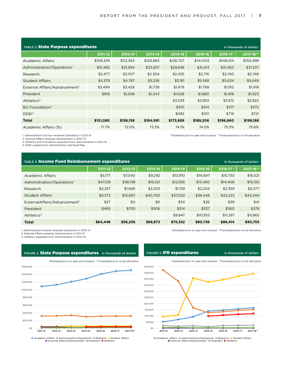| TABLE 2: State Purpose expenditures<br>in thousands of dollars |           |           |           |             |           |           |           |  |  |  |
|----------------------------------------------------------------|-----------|-----------|-----------|-------------|-----------|-----------|-----------|--|--|--|
|                                                                | 2011-12   | 2012-13   | 2013-14   | $2014 - 15$ | 2015-16   | 2016-17*  | 2017-18** |  |  |  |
| Academic Affairs                                               | \$108,329 | \$112,384 | \$120,883 | \$128,707   | \$141,003 | \$148,104 | \$150,498 |  |  |  |
| Administration/Operations <sup>1</sup>                         | \$31,482  | \$31,994  | \$33,507  | \$29,838    | \$31,413  | \$31,450  | \$31,537  |  |  |  |
| Research                                                       | \$2,477   | \$2,507   | \$2,304   | \$2,425     | \$2,716   | \$2,740   | \$2,748   |  |  |  |
| <b>Student Affairs</b>                                         | \$4,379   | \$4,787   | \$5,226   | \$5,181     | \$5,568   | \$5,634   | \$5,649   |  |  |  |
| External Affairs/Advancement <sup>2</sup>                      | \$3.494   | \$3,428   | \$1,728   | \$1,479     | \$1,768   | \$1,912   | \$1,918   |  |  |  |
| President                                                      | \$919     | \$1,058   | \$1,343   | \$1,628     | \$1,880   | \$1,918   | \$1,923   |  |  |  |
| Athletics <sup>3</sup>                                         |           |           |           | \$3,529     | \$3,893   | \$3,812   | \$3,822   |  |  |  |
| BU Foundation <sup>3</sup>                                     |           |           |           | \$410       | \$414     | \$371     | \$372     |  |  |  |
| DDEI <sup>4</sup>                                              |           |           |           | \$492       | \$551     | \$719     | \$721     |  |  |  |
| <b>Total</b>                                                   | \$151,080 | \$156,158 | \$164,991 | \$173,689   | \$189,206 | \$196,660 | \$199,188 |  |  |  |
| Academic Affairs (%)                                           | 71.7%     | 72.0%     | 73.3%     | 74.1%       | 74.5%     | 75.3%     | 75.6%     |  |  |  |

1. Administration Division renamed Operations in 2013–14 \*Estimated prior to year-end closeout \*\*Forecasted prior to full allocation

2. External Affairs renamed Advancement in 2012–13

3. Athletics and Foundation separated from Administration in 2014–15

4. DDEI created from Administration and Road Map

| TABLE 3: Income Fund Reimbursement expenditures<br>in thousands of dollars |          |          |             |              |          |           |           |  |  |
|----------------------------------------------------------------------------|----------|----------|-------------|--------------|----------|-----------|-----------|--|--|
|                                                                            | 2011-12  | 2012-13  | $2013 - 14$ | $12014 - 15$ | 2015-16  | 2016-17 * | 2017-18** |  |  |
| Academic Affairs                                                           | \$5,177  | \$7.040  | \$9,292     | \$13,910     | \$14,697 | \$15,730  | \$16,521  |  |  |
| Administration/Operations <sup>1</sup>                                     | \$47,129 | \$38,138 | \$16,521    | \$12,556     | \$13,460 | \$14,406  | \$15,130  |  |  |
| Research                                                                   | \$2.257  | \$1,666  | \$2,053     | \$1,159      | \$2.204  | \$2,359   | \$2,477   |  |  |
| <b>Student Affairs</b>                                                     | \$9,373  | \$10,687 | \$40,700    | \$37,502     | \$39,448 | \$42,223  | \$44,344  |  |  |
| ExternalAffairs/Advancement <sup>2</sup>                                   | \$27     | \$0      | \$0         | \$34         | \$36     | \$39      | \$41      |  |  |
| President                                                                  | \$485    | \$705    | \$306       | \$314        | \$337    | \$360     | \$378     |  |  |
| Athletics <sup>3</sup>                                                     |          |          |             | \$9,847      | \$10,555 | \$11,297  | \$11,865  |  |  |
| <b>Total</b>                                                               | \$64,448 | \$58,236 | \$68,872    | \$75,322     | \$80,736 | \$86,414  | \$90,755  |  |  |

1. Administration Division renamed Operations in 2013–14 \*Estimated prior to year-end closeout \*\*Forecasted prior to full allocation

2. External Affairs renamed Advancement in 2012–13

3. Athletics separated from Administration in 2014–15



**■ Academic Affairs ● Administration/Operations ● Research ● Student Affairs**<br>● External Affairs/Advancement ● President ● Athletics



FIGURE 2: State Purpose expenditures in thousands of dollars FIGURE 3: IFR expenditures in thousands of dollars





**■ Academic Affairs ● Administration/Operations ● Research ● Student Affairs**<br>● External Affairs/Advancement ● President ● Athletics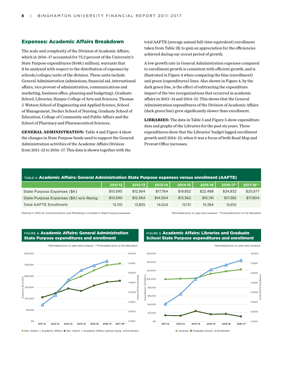# Expenses: Academic Affairs Breakdown

The scale and complexity of the Division of Academic Affairs, which in 2016–17 accounted for 75.3 percent of the University's State Purpose expenditures (\$148.1 million), warrants that it be analyzed with respect to the distribution of expenses by schools/colleges/units of the division. These units include: General Administration (admissions, financial aid, international affairs, vice provost of administration, communications and marketing, business office, planning and budgeting), Graduate School, Libraries, Harpur College of Arts and Sciences, Thomas J. Watson School of Engineering and Applied Science, School of Management, Decker School of Nursing, Graduate School of Education, College of Community and Public Affairs and the School of Pharmacy and Pharmaceutical Sciences.

**GENERAL ADMINISTRATION:** Table 4 and Figure 4 show the changes in State Purpose funds used to support the General Administration activities of the Academic Affairs Division from 2011–12 to 2016–17. This data is shown together with the

total AAFTE (average annual full-time equivalent) enrollment taken from Table 1B, to gain an appreciation for the efficiencies achieved during our recent period of growth.

A low growth rate in General Administration expenses compared to enrollment growth is consistent with efficient growth, and is illustrated in Figure 4 when comparing the blue (enrollment) and green (expenditures) lines. Also shown in Figure 4, by the dark green line, is the effect of subtracting the expenditure impact of the two reorganizations that occurred in academic affairs in 2013–14 and 2014–15. This shows that the General Administration expenditures of the Division of Academic Affairs (dark green line) grew significantly slower than enrollment.

**LIBRARIES:** The data in Table 5 and Figure 5 show expenditure data and graphs of the Libraries for the past six years. These expenditures show that the Libraries' budget lagged enrollment growth until 2014–15, when it was a focus of both Road Map and Provost Office increases.

|                                         | 2011-12  | 2012-13  | 2013-14  | 2014-15  | 2015-16  | $2016 - 17$ | $2017 - 18**$ |
|-----------------------------------------|----------|----------|----------|----------|----------|-------------|---------------|
| State Purpose Expenses (\$K)            | \$10,590 | \$12,364 | \$17,764 | \$19.852 | \$22,488 | \$24.832    | \$25,577      |
| State Purpose Expenses (\$K) w/o Reorg. | \$10,590 | \$12,364 | \$14,504 | \$13.362 | \$15.741 | \$17,382    | \$17,904      |
| Total AAFTE Enrollment                  | 13.351   | 13.855   | 14.624   | 15.131   | 15.384   | 15.610      |               |

Starting in 2013-14, Communications and Marketing is included in State Purpose expenses \*Estimated prior to year-end closeout \*\*Forecasted prior to full allocation







\*Estimated prior to year-end closeout

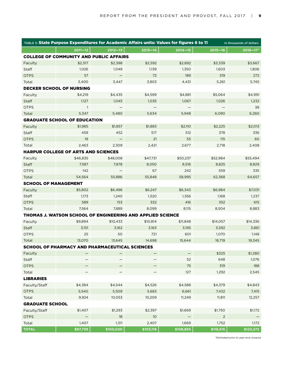|                             |                                            | TABLE 5: State Purpose Expenditures for Academic Affairs units: Values for figures 6 to 11<br>in thousands of dollars |                          |                   |                   |              |  |  |
|-----------------------------|--------------------------------------------|-----------------------------------------------------------------------------------------------------------------------|--------------------------|-------------------|-------------------|--------------|--|--|
|                             | $2011 - 12$                                | $2012 - 13$                                                                                                           | $2013 - 14$              | $2014 - 15$       | $2015 - 16$       | $2016 - 17*$ |  |  |
|                             |                                            | <b>COLLEGE OF COMMUNITY AND PUBLIC AFFAIRS</b>                                                                        |                          |                   |                   |              |  |  |
| Faculty                     | \$2,317                                    | \$2,398                                                                                                               | \$2,592                  | \$2,892           | \$3,339           | \$3,667      |  |  |
| Staff                       | 1,026                                      | 1,049                                                                                                                 | 1,139                    | 1,350             | 1,603             | 1,806        |  |  |
| <b>OTPS</b>                 | 57                                         | $\qquad \qquad -$                                                                                                     | 72                       | 189               | 319               | 272          |  |  |
| Total                       | 3,400                                      | 3,447                                                                                                                 | 3,803                    | 4,431             | 5,261             | 5,745        |  |  |
|                             | <b>DECKER SCHOOL OF NURSING</b>            |                                                                                                                       |                          |                   |                   |              |  |  |
| Faculty                     | \$4,219                                    | \$4,435                                                                                                               | \$4,599                  | \$4,881           | \$5,064           | \$4,991      |  |  |
| <b>Staff</b>                | 1,127                                      | 1,045                                                                                                                 | 1,035                    | 1,067             | 1,026             | 1,232        |  |  |
| <b>OTPS</b>                 | $\mathbf{1}$                               |                                                                                                                       | $\overline{\phantom{0}}$ | $\qquad \qquad -$ | $\qquad \qquad -$ | 38           |  |  |
| Total                       | 5,347                                      | 5,480                                                                                                                 | 5,634                    | 5,948             | 6,090             | 6,260        |  |  |
|                             | <b>GRADUATE SCHOOL OF EDUCATION</b>        |                                                                                                                       |                          |                   |                   |              |  |  |
| Faculty                     | \$1,985                                    | \$1,857                                                                                                               | \$1,883                  | \$2,110           | \$2,225           | \$2,013      |  |  |
| Staff                       | 459                                        | 452                                                                                                                   | 517                      | 512               | 378               | 336          |  |  |
| <b>OTPS</b>                 | 19                                         |                                                                                                                       | 21                       | 55                | 115               | 60           |  |  |
| Total                       | 2,463                                      | 2,309                                                                                                                 | 2,421                    | 2,677             | 2,718             | 2,408        |  |  |
|                             | <b>HARPUR COLLEGE OF ARTS AND SCIENCES</b> |                                                                                                                       |                          |                   |                   |              |  |  |
| Faculty                     | \$46,835                                   | \$48,008                                                                                                              | \$47,731                 | \$50,237          | \$52,984          | \$55.494     |  |  |
| <b>Staff</b>                | 7,587                                      | 7,878                                                                                                                 | 8,050                    | 8,516             | 8,825             | 8,829        |  |  |
| <b>OTPS</b>                 | 142                                        |                                                                                                                       | 67                       | 242               | 559               | 335          |  |  |
| Total                       | 54,564                                     | 55,886                                                                                                                | 55,848                   | 58,995            | 62,368            | 64,657       |  |  |
| <b>SCHOOL OF MANAGEMENT</b> |                                            |                                                                                                                       |                          |                   |                   |              |  |  |
| Faculty                     | \$5,802                                    | \$6,496                                                                                                               | \$6,247                  | \$6,343           | \$6,984           | \$7,031      |  |  |
| Staff                       | 1,173                                      | 1,240                                                                                                                 | 1,320                    | 1,356             | 1,168             | 1,237        |  |  |
| <b>OTPS</b>                 | 589                                        | 153                                                                                                                   | 532                      | 416               | 352               | 615          |  |  |
| Total                       | 7,564                                      | 7,889                                                                                                                 | 8,099                    | 8,115             | 8,504             | 8,883        |  |  |
|                             |                                            | THOMAS J. WATSON SCHOOL OF ENGINEERING AND APPLIED SCIENCE                                                            |                          |                   |                   |              |  |  |
| Faculty                     | \$9,894                                    | \$10,433                                                                                                              | \$10,814                 | \$11,848          | \$14,057          | \$14,336     |  |  |
| Staff                       | 3,151                                      | 3,162                                                                                                                 | 3,163                    | 3,195             | 3,592             | 3,861        |  |  |
| <b>OTPS</b>                 | 25                                         | 50                                                                                                                    | 721                      | 601               | 1,070             | 1,148        |  |  |
| Total                       | 13,070                                     | 13,645                                                                                                                | 14,698                   | 15,644            | 18,719            | 19,345       |  |  |
|                             |                                            | SCHOOL OF PHARMACY AND PHARMACEUTICAL SCIENCES                                                                        |                          |                   |                   |              |  |  |
| Faculty                     |                                            |                                                                                                                       |                          | -                 | \$325             | \$1,280      |  |  |
| Staff                       |                                            |                                                                                                                       |                          | 52                | 648               | 1,076        |  |  |
| <b>OTPS</b>                 |                                            |                                                                                                                       |                          | 75                | 319               | 188          |  |  |
| Total                       |                                            |                                                                                                                       |                          | 127               | 1,292             | 2,545        |  |  |
| <b>LIBRARIES</b>            |                                            |                                                                                                                       |                          |                   |                   |              |  |  |
| Faculty/Staff               | \$4,384                                    | \$4,544                                                                                                               | \$4,526                  | \$4,588           | \$4,379           | \$4,843      |  |  |
| <b>OTPS</b>                 | 5,540                                      | 5,509                                                                                                                 | 5,683                    | 6,661             | 7,432             | 7,415        |  |  |
| Total                       | 9,924                                      | 10,053                                                                                                                | 10,209                   | 11,249            | 11,811            | 12,257       |  |  |
| <b>GRADUATE SCHOOL</b>      |                                            |                                                                                                                       |                          |                   |                   |              |  |  |
| Faculty/Staff               | \$1,407                                    | \$1,293                                                                                                               | \$2,397                  | \$1,669           | \$1,750           | \$1,172      |  |  |
| <b>OTPS</b>                 | $\qquad \qquad -$                          | 18                                                                                                                    | 10 <sup>°</sup>          | -                 | $\overline{2}$    |              |  |  |
| Total                       | 1,407                                      | 1,311                                                                                                                 | 2,407                    | 1,669             | 1,752             | 1,172        |  |  |
| <b>TOTAL</b>                | \$97,739                                   | \$100,020                                                                                                             | \$103,119                | \$108,855         | \$118,515         | \$123,272    |  |  |

\*Estimated prior to year-end closeout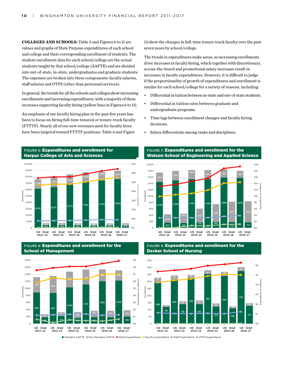**COLLEGES AND SCHOOLS:** Table 5 and Figures 6 to 11 are values and graphs of State Purpose expenditures of each school and college and their corresponding enrollment of students. The student enrollment data for each school/college are the actual students taught by that school/college (AAFTE) and are divided into out-of-state, in-state, undergraduates and graduate students. The expenses are broken into three components: faculty salaries, staff salaries and OTPS (other than personnel services).

In general, the trends for all the schools and colleges show increasing enrollments and increasing expenditures, with a majority of these increases supporting faculty hiring (yellow lines in Figures 6 to 11).

An emphasis of our faculty hiring plan in the past five years has been to focus on hiring full-time tenured or tenure-track faculty (FTTTF). Nearly all of our new revenues used for faculty hires have been targeted toward FTTTF positions. Table 6 and Figure

12 show the changes in full-time tenure-track faculty over the past seven years by school/college.

The trends in expenditures make sense, as increasing enrollments drive increases in faculty hiring, which together with discretionary, across-the-board and promotional salary increases result in increases in faculty expenditures. However, it is difficult to judge if the proportionality of growth of expenditures and enrollment is similar for each school/college for a variety of reasons, including:

- Differential in tuition between in-state and out-of-state students.
- Differential in tuition rates between graduate and undergraduate programs.
- Time lags between enrollment changes and faculty hiring decisions.
- Salary differentials among ranks and disciplines.



FIGURE 8: Expenditures and enrollment for the School of Management

 $R_{\rm F}$  and  $R_{\rm F}$  are similar to  $R_{\rm F}$  and  $R_{\rm F}$  are similar Staff  $\rm E$  and  $R_{\rm F}$ 



FIGURE 7: Expenditures and enrollment for the Watson School of Engineering and Applied Science



FIGURE 9: Expenditures and enrollment for the Decker School of Nursing



■ Resident AAFTE ■ Non-Resident AAFTE ● State Expenditure ● Faculty Expenditure ● Staff Expenditure ● OTPS Expenditure Faculty Expenditure Staff Expenditure OTPS Expenditure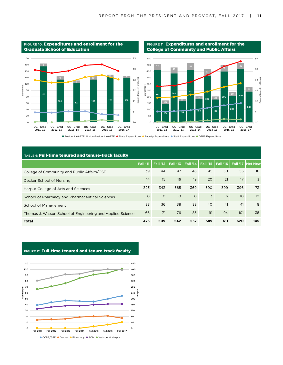

FIGURE 11: Expenditures and enrollment for the College of Community and Public Affairs



 $F$  Resident AAFTE  $F$  Non-Resident AAFTE  $F$ ■ Resident AAFTE ■ Non-Resident AAFTE ● State Expenditure ● Faculty Expenditure ● Staff Expenditure ● OTPS Expenditure

#### TABLE 6: Full-time tenured and tenure-track faculty

FIGURE 10: Expenditures and enrollment for the

|                                                            |          | <b>Fall '11   Fall '12   Fall '13  </b> |         |          | Fall '14   Fall '15   Fall '16   Fall '17   Net New |     |                 |                 |
|------------------------------------------------------------|----------|-----------------------------------------|---------|----------|-----------------------------------------------------|-----|-----------------|-----------------|
| College of Community and Public Affairs/GSE                | 39       | 44                                      | 47      | 46       | 45                                                  | 50  | 55              | 16              |
| Decker School of Nursing                                   | 14       | 15                                      | 16      | 19       | 20                                                  | 21  | 17              | 3               |
| Harpur College of Arts and Sciences                        | 323      | 343                                     | 365     | 369      | 390                                                 | 399 | 396             | 73              |
| School of Pharmacy and Pharmaceutical Sciences             | $\Omega$ | $\Omega$                                | $\circ$ | $\Omega$ | $\overline{3}$                                      | 6   | 10 <sup>°</sup> | 10 <sup>°</sup> |
| School of Management                                       | 33       | 36                                      | 38      | 38       | 40                                                  | 41  | 41              | 8               |
| Thomas J. Watson School of Engineering and Applied Science | 66       | 71                                      | 76      | 85       | 91                                                  | 94  | 101             | 35              |
| <b>Total</b>                                               | 475      | 509                                     | 542     | 557      | 589                                                 | 611 | 620             | 145             |

Figure 12: Full-time tenured and tenure-track faculty FIGURE 12: Full-time tenured and tenure-track faculty

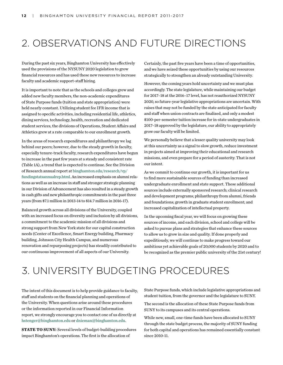# 2. OBSERVATIONS AND FUTURE DIRECTIONS

During the past six years, Binghamton University has effectively used the provisions of the NYSUNY 2020 legislation to grow financial resources and has used these new resources to increase faculty and academic support-staff hiring.

It is important to note that as the schools and colleges grew and added new faculty members, the non-academic expenditures of State Purpose funds (tuition and state appropriation) were held nearly constant. Utilizing student fee IFR income that is assigned to specific activities, including residential life, athletics, dining services, technology, health, recreation and dedicated student services, the divisions of Operations, Student Affairs and Athletics grew at a rate comparable to our enrollment growth.

In the areas of research expenditures and philanthropy we lag behind our peers; however, due to the steady growth in faculty, especially tenure-track faculty, research expenditures have begun to increase in the past few years at a steady and consistent rate (Table 1A), a trend that is expected to continue. See the Division of Research annual report at binghamton.edu/research/vp/ fundingstatsannualrep.html. An increased emphasis on alumni relations as well as an increase in staff and stronger strategic planning in our Division of Advancement has also resulted in a steady growth in cash gifts and new philanthropic commitments in the past three years (from \$7.1 million in 2013-14 to \$14.7 million in 2016-17).

Balanced growth across all divisions of the University, coupled with an increased focus on diversity and inclusion by all divisions, a commitment to the academic mission of all divisions and strong support from New York state for our capital construction needs (Center of Excellence, Smart Energy building, Pharmacy building, Johnson City Health Campus, and numerous renovation and repurposing projects) has steadily contributed to our continuous improvement of all aspects of our University.

Certainly, the past five years have been a time of opportunities, and we have seized these opportunities by using our resources strategically to strengthen an already outstanding University.

However, the coming years hold uncertainty and we must plan accordingly. The state legislature, while maintaining our budget for 2017–18 at the 2016–17 level, has not reauthorized NYSUNY 2020, so future-year legislative appropriations are uncertain. With raises that may not be funded by the state anticipated for faculty and staff when union contracts are finalized, and only a modest \$100-per-semester tuition increase for in-state undergraduates in 2017–18 approved by the legislature, our ability to appropriately grow our faculty will be limited.

We personally believe that a lesser quality university may look at this uncertainty as a signal to slow growth, reduce investment in projects aimed at improving their educational and research missions, and even prepare for a period of austerity. That is not our intent.

As we commit to continue our growth, it is important for us to find more sustainable sources of funding than increased undergraduate enrollment and state support. These additional sources include externally sponsored research; clinical research and development programs; philanthropy from alumni, friends and foundations; growth in graduate student enrollment; and increased capitalization of intellectual property.

In the upcoming fiscal year, we will focus on growing these sources of income, and each division, school and college will be asked to pursue plans and strategies that enhance these sources to allow us to grow in size and quality. If done properly and expeditiously, we will continue to make progress toward our ambitious yet achievable goals of 20,000 students by 2020 and to be recognized as the premier public university of the 21st century!

# 3. UNIVERSITY BUDGETING PROCEDURES

The intent of this document is to help provide guidance to faculty, staff and students on the financial planning and operations of the University. When questions arise around these procedures or the information reported in our Financial Information report, we strongly encourage you to contact one of us directly at hstenger@binghamton.edu or dnieman@binghamton.edu.

**STATE TO SUNY:** Several levels of budget-building procedures impact Binghamton's operations. The first is the allocation of

State Purpose funds, which include legislative appropriations and student tuition, from the governor and the legislature to SUNY.

The second is the allocation of these State Purpose funds from SUNY to its campuses and its central operations.

While new, small, one-time funds have been allocated to SUNY through the state budget process, the majority of SUNY funding for both capital and operations has remained essentially constant since 2010-11.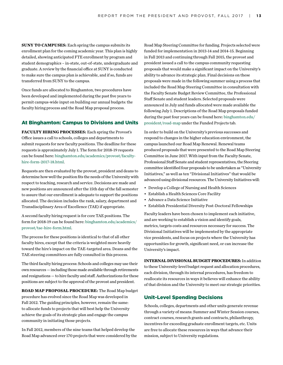**SUNY TO CAMPUSES:** Each spring the campus submits its enrollment plan for the coming academic year. This plan is highly detailed, showing anticipated FTE enrollment by program and student demographics – in-state, out-of-state, undergraduate and graduate. A review by the financial office at SUNY is conducted to make sure the campus plan is achievable, and if so, funds are transferred from SUNY to the campus.

Once funds are allocated to Binghamton, two procedures have been developed and implemented during the past five years to permit campus-wide input on building our annual budgets: the faculty hiring process and the Road Map proposal process.

# At Binghamton: Campus to Divisions and Units

**FACULTY HIRING PROCESSES:** Each spring the Provost's Office issues a call to schools, colleges and departments to submit requests for new faculty positions. The deadline for these requests is approximately July 1. The form for 2018-19 requests can be found here: binghamton.edu/academics/provost/facultyhire-form-2017-18.html.

Requests are then evaluated by the provost, president and deans to determine how well the position fits the needs of the University with respect to teaching, research and service. Decisions are made and new positions are announced after the 15th day of the fall semester to assure that our enrollment is adequate to support the positions allocated. The decision includes the rank, salary, department and Transdisciplinary Area of Excellence (TAE) if appropriate.

A second faculty hiring request is for core TAE positions. The form for 2018-19 can be found here: binghamton.edu/academics/ provost/tae-hire-form.html.

The process for these positions is identical to that of all other faculty hires, except that the criteria is weighted more heavily toward the hire's impact on the TAE-targeted area. Deans and the TAE steering committees are fully consulted in this process.

The third faculty hiring process: Schools and colleges may use their own resources — including those made available through retirements and resignations — to hire faculty and staff. Authorizations for these positions are subject to the approval of the provost and president.

**ROAD MAP PROPOSAL PROCEDURE:** The Road Map budget procedure has evolved since the Road Map was developed in Fall 2012. The guiding principles, however, remain the same: to allocate funds to projects that will best help the University achieve the goals of its strategic plan and engage the campus community in initiating those projects.

In Fall 2012, members of the nine teams that helped develop the Road Map advanced over 170 projects that were considered by the Road Map Steering Committee for funding. Projects selected were funded for implementation in 2013-14 and 2014-15. Beginning in Fall 2013 and continuing through Fall 2015, the provost and president issued a call to the campus community requesting proposals that would make a significant impact on the University's ability to advance its strategic plan. Final decisions on these proposals were made in the following summer using a process that included the Road Map Steering Committee in consultation with the Faculty Senate Budget Review Committee, the Professional Staff Senate and student leaders. Selected proposals were announced in July and funds allocated were made available the following July 1. Descriptions of the Road Map proposals funded during the past four years can be found here: binghamton.edu/ president/road-map under the Funded Projects tab.

In order to build on the University's previous successes and respond to changes in the higher education environment, the campus launched our Road Map Renewal. Renewal teams produced proposals that were presented to the Road Map Steering Committee in June 2017. With input from the Faculty Senate, Professional Staff Senate and student representatives, the Steering committee identified four proposals to be undertaken as "University Initiatives," as well as ten "Divisional Initiatives" that would be advanced using divisional resources. The University Initiatives will:

- Develop a College of Nursing and Health Sciences
- Establish a Health Sciences Core Facility
- Advance a Data Science Initiative
- Establish Presidential Diversity Post-Doctoral Fellowships

Faculty leaders have been chosen to implement each initiative, and are working to establish a vision and identify goals, metrics, targets costs and resources necessary for success. The Divisional Initiatives will be implemented by the appropriate vice presidents, and focus on projects where the University has opportunities for growth, significant need, or can increase the University's impact.

**INTERNAL DIVISIONAL BUDGET PROCEDURES:** In addition to these University-level budget request and allocation procedures, each division, through its internal procedures, has freedom to reallocate its resources in ways it believes will enhance the ability of that division and the University to meet our strategic priorities.

# Unit-Level Spending Decisions

Schools, colleges, departments and other units generate revenue through a variety of means: Summer and Winter Session courses, contract courses, research grants and contracts, philanthropy, incentives for exceeding graduate enrollment targets, etc. Units are free to allocate these resources in ways that advance their mission, subject to University regulations.